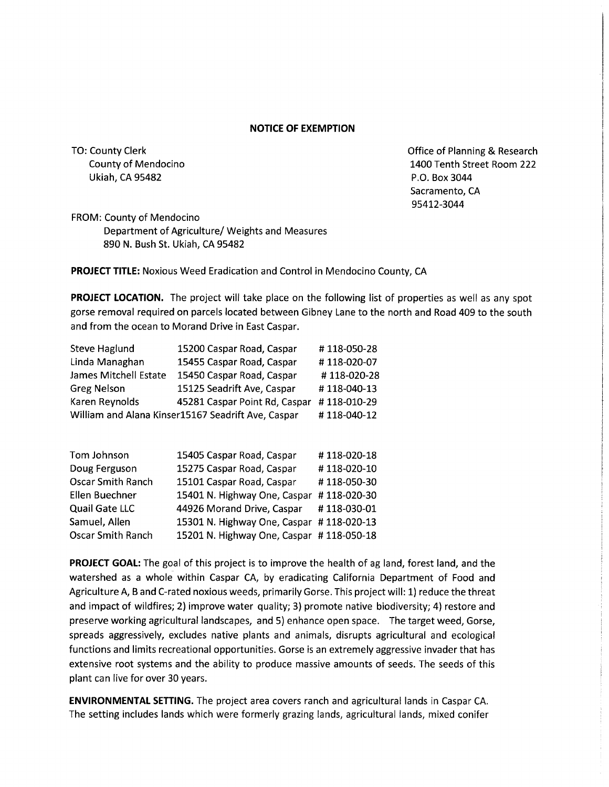## **NOTICE OF EXEMPTION**

TO: County Clerk County of Mendocino Ukiah, CA 95482

Office of Planning & Research 1400 Tenth Street Room 222 P.O. Box 3044 Sacramento, CA 95412-3044

FROM: County of Mendocino Department of Agriculture/ Weights and Measures 890 N. Bush St. Ukiah, CA 95482

**PROJECT TITLE:** Noxious Weed Eradication and Control in Mendocino County, CA

**PROJECT LOCATION.** The project will take place on the following list of properties as well as any spot gorse removal required on parcels located between Gibney Lane to the north and Road 409 to the south and from the ocean to Morand Drive in East Caspar.

| <b>Steve Haglund</b>                               | 15200 Caspar Road, Caspar     | #118-050-28 |
|----------------------------------------------------|-------------------------------|-------------|
| Linda Managhan                                     | 15455 Caspar Road, Caspar     | #118-020-07 |
| James Mitchell Estate                              | 15450 Caspar Road, Caspar     | #118-020-28 |
| <b>Greg Nelson</b>                                 | 15125 Seadrift Ave, Caspar    | #118-040-13 |
| Karen Reynolds                                     | 45281 Caspar Point Rd, Caspar | #118-010-29 |
| William and Alana Kinser15167 Seadrift Ave, Caspar |                               | #118-040-12 |

| 15405 Caspar Road, Caspar                | #118-020-18 |
|------------------------------------------|-------------|
| 15275 Caspar Road, Caspar                | #118-020-10 |
| 15101 Caspar Road, Caspar                | #118-050-30 |
| 15401 N. Highway One, Caspar             | #118-020-30 |
| 44926 Morand Drive, Caspar               | #118-030-01 |
| 15301 N. Highway One, Caspar #118-020-13 |             |
| 15201 N. Highway One, Caspar #118-050-18 |             |
|                                          |             |

**PROJECT GOAL:** The goal of this project is to improve the health of ag land, forest land, and the watershed as a whole within Caspar CA, by eradicating California Department of Food and Agriculture A, Band C-rated noxious weeds, primarily Gorse. This project will: 1) reduce the threat and impact of wildfires; 2) improve water quality; 3) promote native biodiversity; 4) restore and preserve working agricultural landscapes, and 5) enhance open space. The target weed, Gorse, spreads aggressively, excludes native plants and animals, disrupts agricultural and ecological functions and limits recreational opportunities. Gorse is an extremely aggressive invader that has extensive root systems and the ability to produce massive amounts of seeds. The seeds of this plant can live for over 30 years.

**ENVIRONMENTAL SETTING.** The project area covers ranch and agricultural lands in Caspar CA. The setting includes lands which were formerly grazing lands, agricultural lands, mixed conifer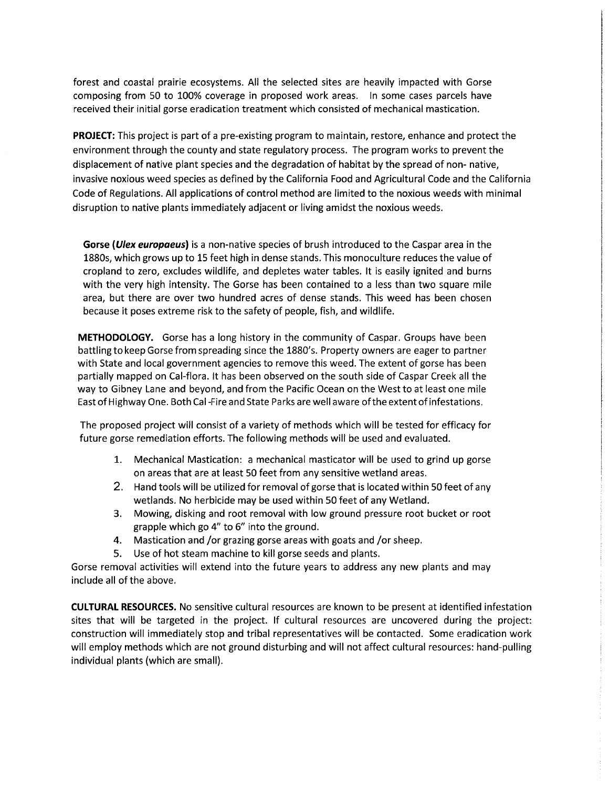forest and coastal prairie ecosystems. All the selected sites are heavily impacted with Gorse composing from 50 to 100% coverage in proposed work areas. In some cases parcels have received their initial gorse eradication treatment which consisted of mechanical mastication.

**PROJECT:** This project is part of a pre-existing program to maintain, restore, enhance and protect the environment through the county and state regulatory process. The program works to prevent the displacement of native plant species and the degradation of habitat by the spread of non- native, invasive noxious weed species as defined by the California Food and Agricultural Code and the California Code of Regulations. All applications of control method are limited to the noxious weeds with minimal disruption to native plants immediately adjacent or living amidst the noxious weeds.

**Gorse (Ulex europaeus)** is a non-native species of brush introduced to the Caspar area in the 1880s, which grows up to 15 feet high in dense stands. This monoculture reduces the value of cropland to zero, excludes wildlife, and depletes water tables. It is easily ignited and burns with the very high intensity. The Gorse has been contained to a less than two square mile area, but there are over two hundred acres of dense stands. This weed has been chosen because it poses extreme risk to the safety of people, fish, and wildlife.

**METHODOLOGY.** Gorse has a long history in the community of Caspar. Groups have been battling to keep Gorse from spreading since the 1880's. Property owners are eager to partner with State and local government agencies to remove this weed. The extent of gorse has been partially mapped on Cal-flora. It has been observed on the south side of Caspar Creek all the way to Gibney Lane and beyond, and from the Pacific Ocean on the West to at least one mile East of Highway One. Both Cal -Fire and State Parks are well aware of the extent of infestations.

The proposed project will consist of a variety of methods which will be tested for efficacy for future gorse remediation efforts. The following methods will be used and evaluated.

- 1. Mechanical Mastication: a mechanical masticator will be used to grind up gorse on areas that are at least 50 feet from any sensitive wetland areas.
- 2. Hand tools will be utilized for removal of gorse that is located within 50 feet of any wetlands. No herbicide may be used within 50 feet of any Wetland.
- 3. Mowing, disking and root removal with low ground pressure root bucket or root grapple which go 4" to 6" into the ground.
- 4. Mastication and /or grazing gorse areas with goats and /or sheep.
- 5. Use of hot steam machine to kill gorse seeds and plants.

Gorse removal activities will extend into the future years to address any new plants and may include all of the above.

**CULTURAL RESOURCES.** No sensitive cultural resources are known to be present at identified infestation sites that will be targeted in the project. If cultural resources are uncovered during the project: construction will immediately stop and tribal representatives will be contacted. Some eradication work will employ methods which are not ground disturbing and will not affect cultural resources: hand-pulling individual plants (which are small).